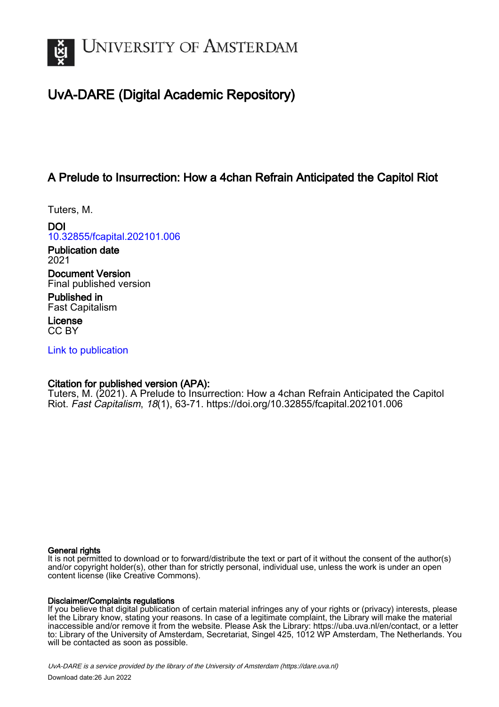

# UvA-DARE (Digital Academic Repository)

## A Prelude to Insurrection: How a 4chan Refrain Anticipated the Capitol Riot

Tuters, M.

DOI [10.32855/fcapital.202101.006](https://doi.org/10.32855/fcapital.202101.006)

Publication date 2021

Document Version Final published version

Published in Fast Capitalism

License CC BY

[Link to publication](https://dare.uva.nl/personal/pure/en/publications/a-prelude-to-insurrection-how-a-4chan-refrain-anticipated-the-capitol-riot(2aef3432-b88a-4078-bb45-53ba0d1c3ae9).html)

## Citation for published version (APA):

Tuters, M. (2021). A Prelude to Insurrection: How a 4chan Refrain Anticipated the Capitol Riot. Fast Capitalism, 18(1), 63-71.<https://doi.org/10.32855/fcapital.202101.006>

#### General rights

It is not permitted to download or to forward/distribute the text or part of it without the consent of the author(s) and/or copyright holder(s), other than for strictly personal, individual use, unless the work is under an open content license (like Creative Commons).

#### Disclaimer/Complaints regulations

If you believe that digital publication of certain material infringes any of your rights or (privacy) interests, please let the Library know, stating your reasons. In case of a legitimate complaint, the Library will make the material inaccessible and/or remove it from the website. Please Ask the Library: https://uba.uva.nl/en/contact, or a letter to: Library of the University of Amsterdam, Secretariat, Singel 425, 1012 WP Amsterdam, The Netherlands. You will be contacted as soon as possible.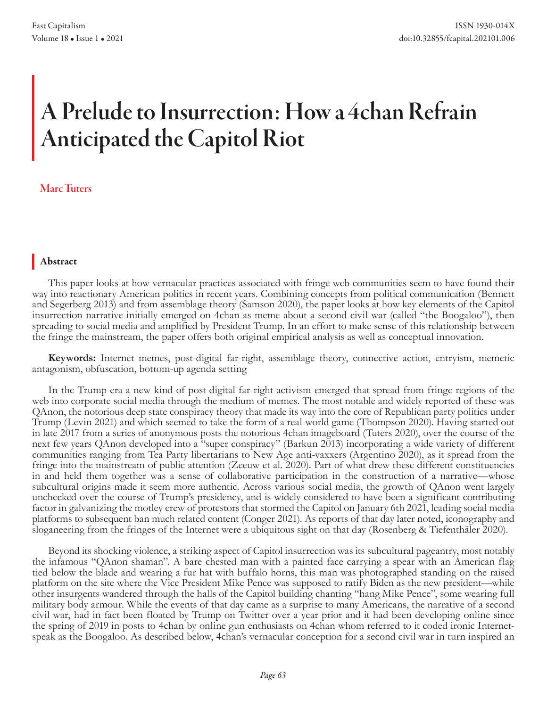# A Prelude to Insurrection: How a 4chan Refrain Anticipated the Capitol Riot

## Marc Tuters

## Abstract

This paper looks at how vernacular practices associated with fringe web communities seem to have found their way into reactionary American politics in recent years. Combining concepts from political communication (Bennett and Segerberg 2013) and from assemblage theory (Samson 2020), the paper looks at how key elements of the Capitol insurrection narrative initially emerged on 4chan as meme about a second civil war (called "the Boogaloo"), then spreading to social media and amplified by President Trump. In an effort to make sense of this relationship between the fringe the mainstream, the paper offers both original empirical analysis as well as conceptual innovation.

**Keywords:** Internet memes, post-digital far-right, assemblage theory, connective action, entryism, memetic antagonism, obfuscation, bottom-up agenda setting

In the Trump era a new kind of post-digital far-right activism emerged that spread from fringe regions of the web into corporate social media through the medium of memes. The most notable and widely reported of these was QAnon, the notorious deep state conspiracy theory that made its way into the core of Republican party politics under Trump (Levin 2021) and which seemed to take the form of a real-world game (Thompson 2020). Having started out in late 2017 from a series of anonymous posts the notorious 4chan imageboard (Tuters 2020), over the course of the next few years QAnon developed into a "super conspiracy" (Barkun 2013) incorporating a wide variety of different communities ranging from Tea Party libertarians to New Age anti-vaxxers (Argentino 2020), as it spread from the fringe into the mainstream of public attention (Zeeuw et al. 2020). Part of what drew these different constituencies in and held them together was a sense of collaborative participation in the construction of a narrative—whose subcultural origins made it seem more authentic. Across various social media, the growth of QAnon went largely unchecked over the course of Trump's presidency, and is widely considered to have been a significant contributing factor in galvanizing the motley crew of protestors that stormed the Capitol on January 6th 2021, leading social media platforms to subsequent ban much related content (Conger 2021). As reports of that day later noted, iconography and sloganeering from the fringes of the Internet were a ubiquitous sight on that day (Rosenberg & Tiefenthäler 2020).

Beyond its shocking violence, a striking aspect of Capitol insurrection was its subcultural pageantry, most notably the infamous "QAnon shaman". A bare chested man with a painted face carrying a spear with an American flag tied below the blade and wearing a fur hat with buffalo horns, this man was photographed standing on the raised platform on the site where the Vice President Mike Pence was supposed to ratify Biden as the new president—while other insurgents wandered through the halls of the Capitol building chanting "hang Mike Pence", some wearing full military body armour. While the events of that day came as a surprise to many Americans, the narrative of a second civil war, had in fact been floated by Trump on Twitter over a year prior and it had been developing online since the spring of 2019 in posts to 4chan by online gun enthusiasts on 4chan whom referred to it coded ironic Internetspeak as the Boogaloo. As described below, 4chan's vernacular conception for a second civil war in turn inspired an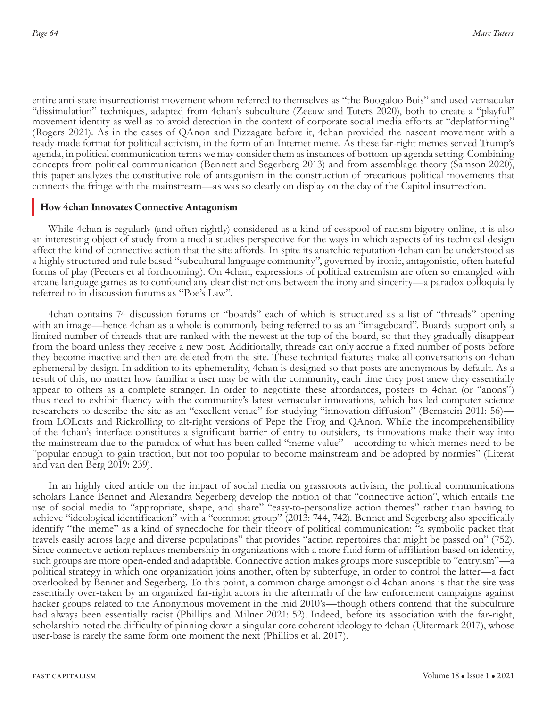entire anti-state insurrectionist movement whom referred to themselves as "the Boogaloo Bois" and used vernacular "dissimulation" techniques, adapted from 4chan's subculture (Zeeuw and Tuters 2020), both to create a "playful" movement identity as well as to avoid detection in the context of corporate social media efforts at "deplatforming" (Rogers 2021). As in the cases of QAnon and Pizzagate before it, 4chan provided the nascent movement with a ready-made format for political activism, in the form of an Internet meme. As these far-right memes served Trump's agenda, in political communication terms we may consider them as instances of bottom-up agenda setting. Combining concepts from political communication (Bennett and Segerberg 2013) and from assemblage theory (Samson 2020), this paper analyzes the constitutive role of antagonism in the construction of precarious political movements that connects the fringe with the mainstream—as was so clearly on display on the day of the Capitol insurrection.

#### How 4chan Innovates Connective Antagonism

While 4chan is regularly (and often rightly) considered as a kind of cesspool of racism bigotry online, it is also an interesting object of study from a media studies perspective for the ways in which aspects of its technical design affect the kind of connective action that the site affords. In spite its anarchic reputation 4chan can be understood as a highly structured and rule based "subcultural language community", governed by ironic, antagonistic, often hateful forms of play (Peeters et al forthcoming). On 4chan, expressions of political extremism are often so entangled with arcane language games as to confound any clear distinctions between the irony and sincerity—a paradox colloquially referred to in discussion forums as "Poe's Law".

4chan contains 74 discussion forums or "boards" each of which is structured as a list of "threads" opening with an image—hence 4chan as a whole is commonly being referred to as an "imageboard". Boards support only a limited number of threads that are ranked with the newest at the top of the board, so that they gradually disappear from the board unless they receive a new post. Additionally, threads can only accrue a fixed number of posts before they become inactive and then are deleted from the site. These technical features make all conversations on 4chan ephemeral by design. In addition to its ephemerality, 4chan is designed so that posts are anonymous by default. As a result of this, no matter how familiar a user may be with the community, each time they post anew they essentially appear to others as a complete stranger. In order to negotiate these affordances, posters to 4chan (or "anons") thus need to exhibit fluency with the community's latest vernacular innovations, which has led computer science researchers to describe the site as an "excellent venue" for studying "innovation diffusion" (Bernstein 2011: 56) from LOLcats and Rickrolling to alt-right versions of Pepe the Frog and QAnon. While the incomprehensibility of the 4chan's interface constitutes a significant barrier of entry to outsiders, its innovations make their way into the mainstream due to the paradox of what has been called "meme value"—according to which memes need to be "popular enough to gain traction, but not too popular to become mainstream and be adopted by normies" (Literat and van den Berg 2019: 239).

In an highly cited article on the impact of social media on grassroots activism, the political communications scholars Lance Bennet and Alexandra Segerberg develop the notion of that "connective action", which entails the use of social media to "appropriate, shape, and share" "easy-to-personalize action themes" rather than having to achieve "ideological identification" with a "common group" (2013: 744, 742). Bennet and Segerberg also specifically identify "the meme" as a kind of synecdoche for their theory of political communication: "a symbolic packet that travels easily across large and diverse populations" that provides "action repertoires that might be passed on" (752). Since connective action replaces membership in organizations with a more fluid form of affiliation based on identity, such groups are more open-ended and adaptable. Connective action makes groups more susceptible to "entryism"—a political strategy in which one organization joins another, often by subterfuge, in order to control the latter—a fact overlooked by Bennet and Segerberg. To this point, a common charge amongst old 4chan anons is that the site was essentially over-taken by an organized far-right actors in the aftermath of the law enforcement campaigns against hacker groups related to the Anonymous movement in the mid 2010's—though others contend that the subculture had always been essentially racist (Phillips and Milner 2021: 52). Indeed, before its association with the far-right, scholarship noted the difficulty of pinning down a singular core coherent ideology to 4chan (Uitermark 2017), whose user-base is rarely the same form one moment the next (Phillips et al. 2017).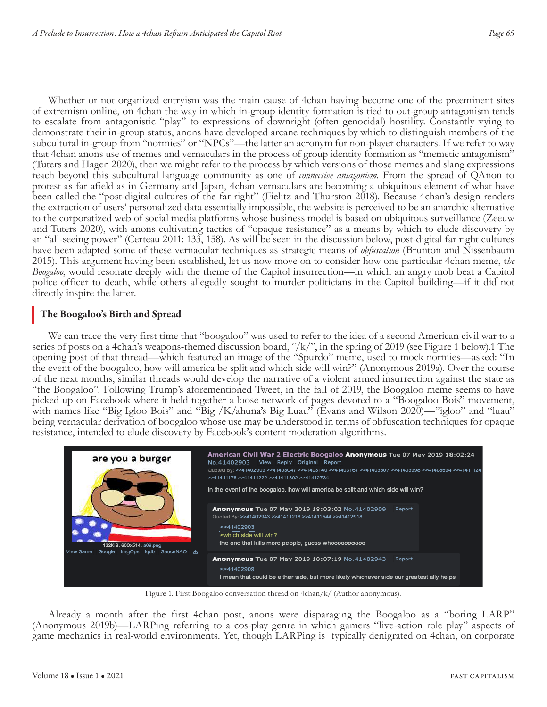Whether or not organized entryism was the main cause of 4chan having become one of the preeminent sites of extremism online, on 4chan the way in which in-group identity formation is tied to out-group antagonism tends to escalate from antagonistic "play" to expressions of downright (often genocidal) hostility. Constantly vying to demonstrate their in-group status, anons have developed arcane techniques by which to distinguish members of the subcultural in-group from "normies" or "NPCs"—the latter an acronym for non-player characters. If we refer to way that 4chan anons use of memes and vernaculars in the process of group identity formation as "memetic antagonism" (Tuters and Hagen 2020), then we might refer to the process by which versions of those memes and slang expressions reach beyond this subcultural language community as one of *connective antagonism.* From the spread of QAnon to protest as far afield as in Germany and Japan, 4chan vernaculars are becoming a ubiquitous element of what have been called the "post-digital cultures of the far right" (Fielitz and Thurston 2018). Because 4chan's design renders the extraction of users' personalized data essentially impossible, the website is perceived to be an anarchic alternative to the corporatized web of social media platforms whose business model is based on ubiquitous surveillance (Zeeuw and Tuters 2020), with anons cultivating tactics of "opaque resistance" as a means by which to elude discovery by an "all-seeing power" (Certeau 2011: 133, 158). As will be seen in the discussion below, post-digital far right cultures have been adapted some of these vernacular techniques as strategic means of *obfuscation* (Brunton and Nissenbaum 2015). This argument having been established, let us now move on to consider how one particular 4chan meme, t*he Boogaloo*, would resonate deeply with the theme of the Capitol insurrection—in which an angry mob beat a Capitol police officer to death, while others allegedly sought to murder politicians in the Capitol building—if it did not directly inspire the latter.

### The Boogaloo's Birth and Spread

We can trace the very first time that "boogaloo" was used to refer to the idea of a second American civil war to a series of posts on a 4chan's weapons-themed discussion board, "/k/", in the spring of 2019 (see Figure 1 below).1 The opening post of that thread—which featured an image of the "Spurdo" meme, used to mock normies—asked: "In the event of the boogaloo, how will america be split and which side will win?" (Anonymous 2019a). Over the course of the next months, similar threads would develop the narrative of a violent armed insurrection against the state as "the Boogaloo". Following Trump's aforementioned Tweet, in the fall of 2019, the Boogaloo meme seems to have picked up on Facebook where it held together a loose network of pages devoted to a "Boogaloo Bois" movement, with names like "Big Igloo Bois" and "Big /K/ahuna's Big Luau" (Evans and Wilson 2020)—"igloo" and "luau" being vernacular derivation of boogaloo whose use may be understood in terms of obfuscation techniques for opaque resistance, intended to elude discovery by Facebook's content moderation algorithms.



Figure 1. First Boogaloo conversation thread on 4chan/k/ (Author anonymous).

Already a month after the first 4chan post, anons were disparaging the Boogaloo as a "boring LARP" (Anonymous 2019b)—LARPing referring to a cos-play genre in which gamers "live-action role play" aspects of game mechanics in real-world environments. Yet, though LARPing is typically denigrated on 4chan, on corporate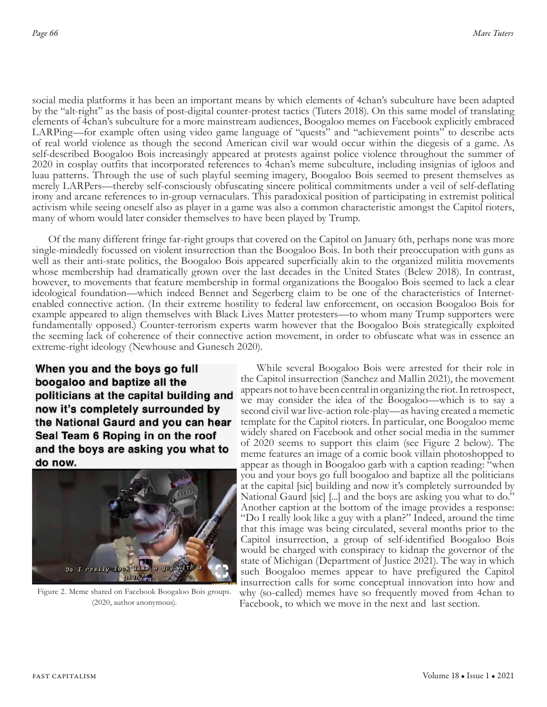social media platforms it has been an important means by which elements of 4chan's subculture have been adapted by the "alt-right" as the basis of post-digital counter-protest tactics (Tuters 2018). On this same model of translating elements of 4chan's subculture for a more mainstream audiences, Boogaloo memes on Facebook explicitly embraced LARPing—for example often using video game language of "quests" and "achievement points" to describe acts of real world violence as though the second American civil war would occur within the diegesis of a game. As self-described Boogaloo Bois increasingly appeared at protests against police violence throughout the summer of 2020 in cosplay outfits that incorporated references to 4chan's meme subculture, including insignias of igloos and luau patterns. Through the use of such playful seeming imagery, Boogaloo Bois seemed to present themselves as merely LARPers—thereby self-consciously obfuscating sincere political commitments under a veil of self-deflating irony and arcane references to in-group vernaculars. This paradoxical position of participating in extremist political activism while seeing oneself also as player in a game was also a common characteristic amongst the Capitol rioters, many of whom would later consider themselves to have been played by Trump.

Of the many different fringe far-right groups that covered on the Capitol on January 6th, perhaps none was more single-mindedly focussed on violent insurrection than the Boogaloo Bois. In both their preoccupation with guns as well as their anti-state politics, the Boogaloo Bois appeared superficially akin to the organized militia movements whose membership had dramatically grown over the last decades in the United States (Belew 2018). In contrast, however, to movements that feature membership in formal organizations the Boogaloo Bois seemed to lack a clear ideological foundation—which indeed Bennet and Segerberg claim to be one of the characteristics of Internetenabled connective action. (In their extreme hostility to federal law enforcement, on occasion Boogaloo Bois for example appeared to align themselves with Black Lives Matter protesters—to whom many Trump supporters were fundamentally opposed.) Counter-terrorism experts warm however that the Boogaloo Bois strategically exploited the seeming lack of coherence of their connective action movement, in order to obfuscate what was in essence an extreme-right ideology (Newhouse and Gunesch 2020).

When you and the boys go full boogaloo and baptize all the politicians at the capital building and now it's completely surrounded by the National Gaurd and you can hear Seal Team 6 Roping in on the roof and the boys are asking you what to do now.



Figure 2. Meme shared on Facebook Boogaloo Bois groups. (2020, author anonymous).

While several Boogaloo Bois were arrested for their role in the Capitol insurrection (Sanchez and Mallin 2021), the movement appears not to have been central in organizing the riot. In retrospect, we may consider the idea of the Boogaloo—which is to say a second civil war live-action role-play—as having created a memetic template for the Capitol rioters. In particular, one Boogaloo meme widely shared on Facebook and other social media in the summer of 2020 seems to support this claim (see Figure 2 below). The meme features an image of a comic book villain photoshopped to appear as though in Boogaloo garb with a caption reading: "when you and your boys go full boogaloo and baptize all the politicians at the capital [sic] building and now it's completely surrounded by National Gaurd [sic] [...] and the boys are asking you what to do." Another caption at the bottom of the image provides a response: "Do I really look like a guy with a plan?" Indeed, around the time that this image was being circulated, several months prior to the Capitol insurrection, a group of self-identified Boogaloo Bois would be charged with conspiracy to kidnap the governor of the state of Michigan (Department of Justice 2021). The way in which such Boogaloo memes appear to have prefigured the Capitol insurrection calls for some conceptual innovation into how and why (so-called) memes have so frequently moved from 4chan to Facebook, to which we move in the next and last section.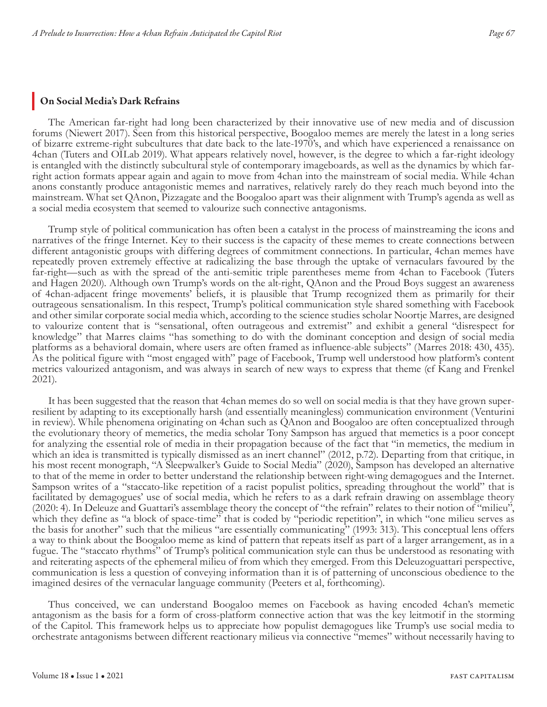#### On Social Media's Dark Refrains

The American far-right had long been characterized by their innovative use of new media and of discussion forums (Niewert 2017). Seen from this historical perspective, Boogaloo memes are merely the latest in a long series of bizarre extreme-right subcultures that date back to the late-1970's, and which have experienced a renaissance on 4chan (Tuters and OILab 2019). What appears relatively novel, however, is the degree to which a far-right ideology is entangled with the distinctly subcultural style of contemporary imageboards, as well as the dynamics by which farright action formats appear again and again to move from 4chan into the mainstream of social media. While 4chan anons constantly produce antagonistic memes and narratives, relatively rarely do they reach much beyond into the mainstream. What set QAnon, Pizzagate and the Boogaloo apart was their alignment with Trump's agenda as well as a social media ecosystem that seemed to valourize such connective antagonisms.

Trump style of political communication has often been a catalyst in the process of mainstreaming the icons and narratives of the fringe Internet. Key to their success is the capacity of these memes to create connections between different antagonistic groups with differing degrees of commitment connections. In particular, 4chan memes have repeatedly proven extremely effective at radicalizing the base through the uptake of vernaculars favoured by the far-right—such as with the spread of the anti-semitic triple parentheses meme from 4chan to Facebook (Tuters and Hagen 2020). Although own Trump's words on the alt-right, QAnon and the Proud Boys suggest an awareness of 4chan-adjacent fringe movements' beliefs, it is plausible that Trump recognized them as primarily for their outrageous sensationalism. In this respect, Trump's political communication style shared something with Facebook and other similar corporate social media which, according to the science studies scholar Noortje Marres, are designed to valourize content that is "sensational, often outrageous and extremist" and exhibit a general "disrespect for knowledge" that Marres claims "has something to do with the dominant conception and design of social media platforms as a behavioral domain, where users are often framed as influence-able subjects" (Marres 2018: 430, 435). As the political figure with "most engaged with" page of Facebook, Trump well understood how platform's content metrics valourized antagonism, and was always in search of new ways to express that theme (cf Kang and Frenkel 2021).

It has been suggested that the reason that 4chan memes do so well on social media is that they have grown superresilient by adapting to its exceptionally harsh (and essentially meaningless) communication environment (Venturini in review). While phenomena originating on 4chan such as QAnon and Boogaloo are often conceptualized through the evolutionary theory of memetics, the media scholar Tony Sampson has argued that memetics is a poor concept for analyzing the essential role of media in their propagation because of the fact that "in memetics, the medium in which an idea is transmitted is typically dismissed as an inert channel" (2012, p.72). Departing from that critique, in his most recent monograph, "A Sleepwalker's Guide to Social Media" (2020), Sampson has developed an alternative to that of the meme in order to better understand the relationship between right-wing demagogues and the Internet. Sampson writes of a "staccato-like repetition of a racist populist politics, spreading throughout the world" that is facilitated by demagogues' use of social media, which he refers to as a dark refrain drawing on assemblage theory (2020: 4). In Deleuze and Guattari's assemblage theory the concept of "the refrain" relates to their notion of "milieu", which they define as "a block of space-time" that is coded by "periodic repetition", in which "one milieu serves as the basis for another" such that the milieus "are essentially communicating" (1993: 313). This conceptual lens offers a way to think about the Boogaloo meme as kind of pattern that repeats itself as part of a larger arrangement, as in a fugue. The "staccato rhythms" of Trump's political communication style can thus be understood as resonating with and reiterating aspects of the ephemeral milieu of from which they emerged. From this Deleuzoguattari perspective, communication is less a question of conveying information than it is of patterning of unconscious obedience to the imagined desires of the vernacular language community (Peeters et al, forthcoming).

Thus conceived, we can understand Boogaloo memes on Facebook as having encoded 4chan's memetic antagonism as the basis for a form of cross-platform connective action that was the key leitmotif in the storming of the Capitol. This framework helps us to appreciate how populist demagogues like Trump's use social media to orchestrate antagonisms between different reactionary milieus via connective "memes" without necessarily having to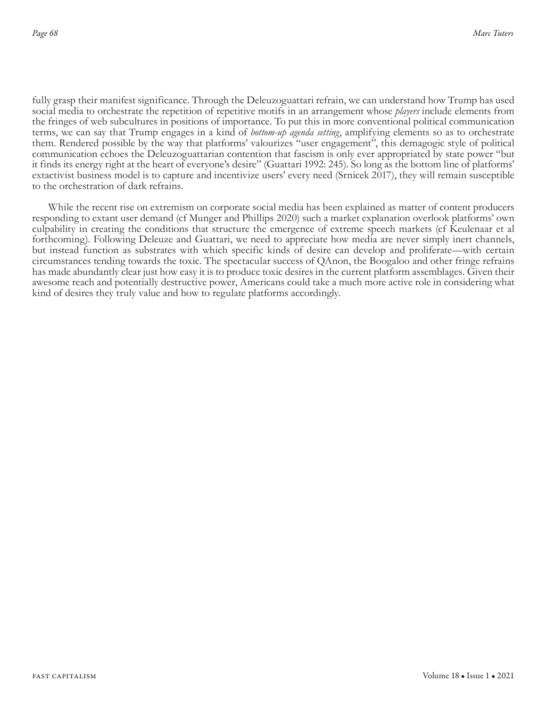fully grasp their manifest significance. Through the Deleuzoguattari refrain, we can understand how Trump has used social media to orchestrate the repetition of repetitive motifs in an arrangement whose *players* include elements from the fringes of web subcultures in positions of importance. To put this in more conventional political communication terms, we can say that Trump engages in a kind of *bottom-up agenda setting*, amplifying elements so as to orchestrate them. Rendered possible by the way that platforms' valourizes "user engagement", this demagogic style of political communication echoes the Deleuzoguattarian contention that fascism is only ever appropriated by state power "but it finds its energy right at the heart of everyone's desire" (Guattari 1992: 245). So long as the bottom line of platforms' extactivist business model is to capture and incentivize users' every need (Srnicek 2017), they will remain susceptible to the orchestration of dark refrains.

While the recent rise on extremism on corporate social media has been explained as matter of content producers responding to extant user demand (cf Munger and Phillips 2020) such a market explanation overlook platforms' own culpability in creating the conditions that structure the emergence of extreme speech markets (cf Keulenaar et al forthcoming). Following Deleuze and Guattari, we need to appreciate how media are never simply inert channels, but instead function as substrates with which specific kinds of desire can develop and proliferate—with certain circumstances tending towards the toxic. The spectacular success of QAnon, the Boogaloo and other fringe refrains has made abundantly clear just how easy it is to produce toxic desires in the current platform assemblages. Given their awesome reach and potentially destructive power, Americans could take a much more active role in considering what kind of desires they truly value and how to regulate platforms accordingly.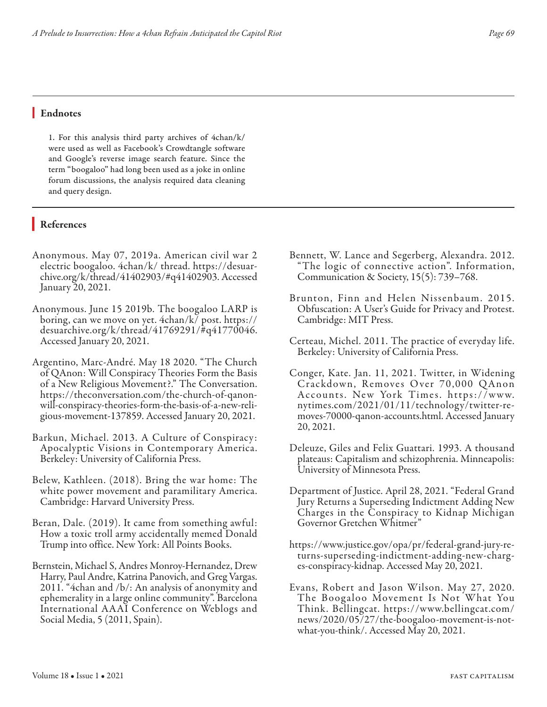#### Endnotes

1. For this analysis third party archives of 4chan/k/ were used as well as Facebook's Crowdtangle software and Google's reverse image search feature. Since the term "boogaloo" had long been used as a joke in online forum discussions, the analysis required data cleaning and query design.

## References

- Anonymous. May 07, 2019a. American civil war 2 electric boogaloo. 4chan/k/ thread. https://desuarchive.org/k/thread/41402903/#q41402903. Accessed January 20, 2021.
- Anonymous. June 15 2019b. The boogaloo LARP is boring, can we move on yet. 4chan/k/ post. https:// desuarchive.org/k/thread/41769291/#q41770046. Accessed January 20, 2021.
- Argentino, Marc-André. May 18 2020. "The Church of QAnon: Will Conspiracy Theories Form the Basis of a New Religious Movement?." The Conversation. https://theconversation.com/the-church-of-qanonwill-conspiracy-theories-form-the-basis-of-a-new-religious-movement-137859. Accessed January 20, 2021.
- Barkun, Michael. 2013. A Culture of Conspiracy: Apocalyptic Visions in Contemporary America. Berkeley: University of California Press.
- Belew, Kathleen. (2018). Bring the war home: The white power movement and paramilitary America. Cambridge: Harvard University Press.
- Beran, Dale. (2019). It came from something awful: How a toxic troll army accidentally memed Donald Trump into office. New York: All Points Books.
- Bernstein, Michael S, Andres Monroy-Hernandez, Drew Harry, Paul Andre, Katrina Panovich, and Greg Vargas. 2011. "4chan and /b/: An analysis of anonymity and ephemerality in a large online community". Barcelona International AAAI Conference on Weblogs and Social Media, 5 (2011, Spain).
- Bennett, W. Lance and Segerberg, Alexandra. 2012. "The logic of connective action". Information, Communication & Society, 15(5): 739–768.
- Brunton, Finn and Helen Nissenbaum. 2015. Obfuscation: A User's Guide for Privacy and Protest. Cambridge: MIT Press.
- Certeau, Michel. 2011. The practice of everyday life. Berkeley: University of California Press.
- Conger, Kate. Jan. 11, 2021. Twitter, in Widening Crackdown, Removes Over 70,000 QAnon Accounts. New York Times. https://www. nytimes.com/2021/01/11/technology/twitter-removes-70000-qanon-accounts.html. Accessed January 20, 2021.
- Deleuze, Giles and Felix Guattari. 1993. A thousand plateaus: Capitalism and schizophrenia. Minneapolis: University of Minnesota Press.
- Department of Justice. April 28, 2021. "Federal Grand Jury Returns a Superseding Indictment Adding New Charges in the Conspiracy to Kidnap Michigan Governor Gretchen Whitmer"
- https://www.justice.gov/opa/pr/federal-grand-jury-re- turns-superseding-indictment-adding-new-charg- es-conspiracy-kidnap. Accessed May 20, 2021.
- Evans, Robert and Jason Wilson. May 27, 2020. The Boogaloo Movement Is Not What You Think. Bellingcat. https://www.bellingcat.com/ news/2020/05/27/the-boogaloo-movement-is-notwhat-you-think/. Accessed May 20, 2021.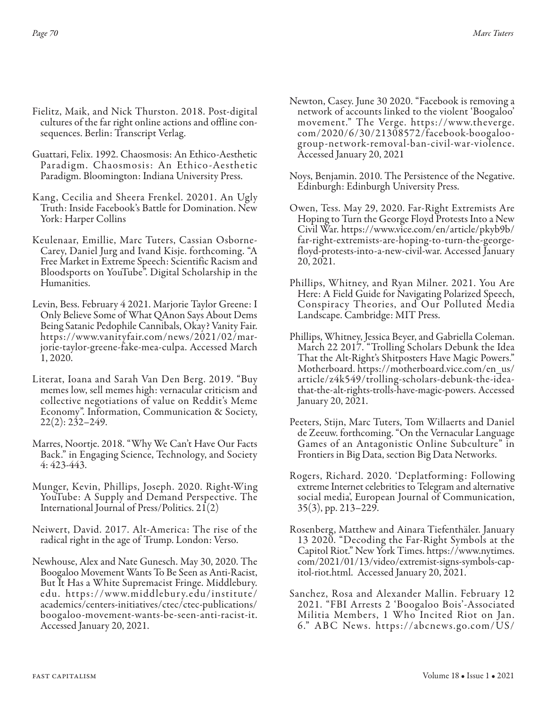- Fielitz, Maik, and Nick Thurston. 2018. Post-digital cultures of the far right online actions and offline consequences. Berlin: Transcript Verlag.
- Guattari, Felix. 1992. Chaosmosis: An Ethico-Aesthetic Paradigm. Chaosmosis: An Ethico-Aesthetic Paradigm. Bloomington: Indiana University Press.
- Kang, Cecilia and Sheera Frenkel. 20201. An Ugly Truth: Inside Facebook's Battle for Domination. New York: Harper Collins
- Keulenaar, Emillie, Marc Tuters, Cassian Osborne-Carey, Daniel Jurg and Ivand Kisje. forthcoming. "A Free Market in Extreme Speech: Scientific Racism and Bloodsports on YouTube". Digital Scholarship in the Humanities.
- Levin, Bess. February 4 2021. Marjorie Taylor Greene: I Only Believe Some of What QAnon Says About Dems Being Satanic Pedophile Cannibals, Okay? Vanity Fair. https://www.vanityfair.com/news/2021/02/marjorie-taylor-greene-fake-mea-culpa. Accessed March 1, 2020.
- Literat, Ioana and Sarah Van Den Berg. 2019. "Buy memes low, sell memes high: vernacular criticism and collective negotiations of value on Reddit's Meme Economy". Information, Communication & Society, 22(2): 232–249.
- Marres, Noortje. 2018. "Why We Can't Have Our Facts Back." in Engaging Science, Technology, and Society 4: 423-443.
- Munger, Kevin, Phillips, Joseph. 2020. Right-Wing YouTube: A Supply and Demand Perspective. The International Journal of Press/Politics. 21(2)
- Neiwert, David. 2017. Alt-America: The rise of the radical right in the age of Trump. London: Verso.
- Newhouse, Alex and Nate Gunesch. May 30, 2020. The Boogaloo Movement Wants To Be Seen as Anti-Racist, But It Has a White Supremacist Fringe. Middlebury. edu. https://www.middlebur y.edu/institute/ academics/centers-initiatives/ctec/ctec-publications/ boogaloo-movement-wants-be-seen-anti-racist-it. Accessed January 20, 2021.
- Newton, Casey. June 30 2020. "Facebook is removing a network of accounts linked to the violent 'Boogaloo' movement." The Verge. https://www.theverge. com/2020/6/30/21308572/facebook-boogaloogroup-network-removal-ban-civil-war-violence. Accessed January 20, 2021
- Noys, Benjamin. 2010. The Persistence of the Negative. Edinburgh: Edinburgh University Press.
- Owen, Tess. May 29, 2020. Far-Right Extremists Are Hoping to Turn the George Floyd Protests Into a New Civil War. https://www.vice.com/en/article/pkyb9b/ far-right-extremists-are-hoping-to-turn-the-georgefloyd-protests-into-a-new-civil-war. Accessed January 20, 2021.
- Phillips, Whitney, and Ryan Milner. 2021. You Are Here: A Field Guide for Navigating Polarized Speech, Conspiracy Theories, and Our Polluted Media Landscape. Cambridge: MIT Press.
- Phillips, Whitney, Jessica Beyer, and Gabriella Coleman. March 22 2017. "Trolling Scholars Debunk the Idea That the Alt-Right's Shitposters Have Magic Powers." Motherboard. https://motherboard.vice.com/en\_us/ article/z4k549/trolling-scholars-debunk-the-ideathat-the-alt-rights-trolls-have-magic-powers. Accessed January 20, 2021.
- Peeters, Stijn, Marc Tuters, Tom Willaerts and Daniel de Zeeuw. forthcoming. "On the Vernacular Language Games of an Antagonistic Online Subculture" in Frontiers in Big Data, section Big Data Networks.
- Rogers, Richard. 2020. 'Deplatforming: Following extreme Internet celebrities to Telegram and alternative social media', European Journal of Communication, 35(3), pp. 213–229.
- Rosenberg, Matthew and Ainara Tiefenthäler. January 13 2020. "Decoding the Far-Right Symbols at the Capitol Riot." New York Times. https://www.nytimes. com/2021/01/13/video/extremist-signs-symbols-capitol-riot.html. Accessed January 20, 2021.
- Sanchez, Rosa and Alexander Mallin. February 12 2021. "FBI Arrests 2 'Boogaloo Bois'-Associated Militia Members, 1 Who Incited Riot on Jan. 6." AB C News. https://abcnews.go.com/US/